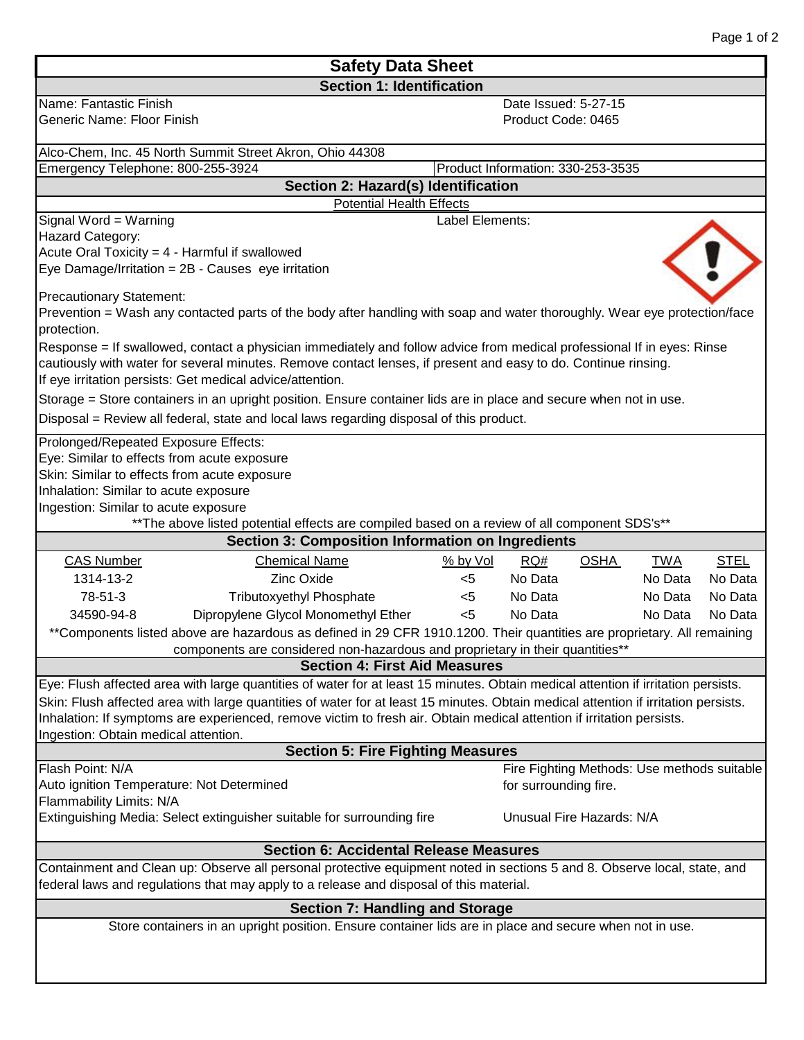| Page 1 of 2 |  |  |
|-------------|--|--|
|             |  |  |

| <b>Safety Data Sheet</b>                                                                                                                                                                                                                                                                                                                                                                                                                 |                                                               |  |  |  |  |  |
|------------------------------------------------------------------------------------------------------------------------------------------------------------------------------------------------------------------------------------------------------------------------------------------------------------------------------------------------------------------------------------------------------------------------------------------|---------------------------------------------------------------|--|--|--|--|--|
| <b>Section 1: Identification</b>                                                                                                                                                                                                                                                                                                                                                                                                         |                                                               |  |  |  |  |  |
| Name: Fantastic Finish<br>Generic Name: Floor Finish                                                                                                                                                                                                                                                                                                                                                                                     | Date Issued: 5-27-15<br>Product Code: 0465                    |  |  |  |  |  |
| Alco-Chem, Inc. 45 North Summit Street Akron, Ohio 44308                                                                                                                                                                                                                                                                                                                                                                                 |                                                               |  |  |  |  |  |
| Emergency Telephone: 800-255-3924<br>Product Information: 330-253-3535                                                                                                                                                                                                                                                                                                                                                                   |                                                               |  |  |  |  |  |
| Section 2: Hazard(s) Identification                                                                                                                                                                                                                                                                                                                                                                                                      |                                                               |  |  |  |  |  |
| <b>Potential Health Effects</b>                                                                                                                                                                                                                                                                                                                                                                                                          |                                                               |  |  |  |  |  |
| Signal Word = Warning<br>Hazard Category:                                                                                                                                                                                                                                                                                                                                                                                                | Label Elements:                                               |  |  |  |  |  |
| Acute Oral Toxicity = 4 - Harmful if swallowed                                                                                                                                                                                                                                                                                                                                                                                           |                                                               |  |  |  |  |  |
| Eye Damage/Irritation = 2B - Causes eye irritation                                                                                                                                                                                                                                                                                                                                                                                       |                                                               |  |  |  |  |  |
|                                                                                                                                                                                                                                                                                                                                                                                                                                          |                                                               |  |  |  |  |  |
| <b>Precautionary Statement:</b>                                                                                                                                                                                                                                                                                                                                                                                                          |                                                               |  |  |  |  |  |
| Prevention = Wash any contacted parts of the body after handling with soap and water thoroughly. Wear eye protection/face<br>protection.                                                                                                                                                                                                                                                                                                 |                                                               |  |  |  |  |  |
| Response = If swallowed, contact a physician immediately and follow advice from medical professional If in eyes: Rinse<br>cautiously with water for several minutes. Remove contact lenses, if present and easy to do. Continue rinsing.<br>If eye irritation persists: Get medical advice/attention.                                                                                                                                    |                                                               |  |  |  |  |  |
| Storage = Store containers in an upright position. Ensure container lids are in place and secure when not in use.                                                                                                                                                                                                                                                                                                                        |                                                               |  |  |  |  |  |
| Disposal = Review all federal, state and local laws regarding disposal of this product.                                                                                                                                                                                                                                                                                                                                                  |                                                               |  |  |  |  |  |
| Prolonged/Repeated Exposure Effects:<br>Eye: Similar to effects from acute exposure<br>Skin: Similar to effects from acute exposure<br>Inhalation: Similar to acute exposure<br>Ingestion: Similar to acute exposure<br>** The above listed potential effects are compiled based on a review of all component SDS's**                                                                                                                    |                                                               |  |  |  |  |  |
| <b>Section 3: Composition Information on Ingredients</b>                                                                                                                                                                                                                                                                                                                                                                                 |                                                               |  |  |  |  |  |
| <b>CAS Number</b><br><b>Chemical Name</b>                                                                                                                                                                                                                                                                                                                                                                                                | $%$ by Vol<br>RO#<br><b>OSHA</b><br><b>TWA</b><br><b>STEL</b> |  |  |  |  |  |
| 1314-13-2<br><b>Zinc Oxide</b>                                                                                                                                                                                                                                                                                                                                                                                                           | No Data<br>No Data<br>$<$ 5<br>No Data                        |  |  |  |  |  |
| 78-51-3<br><b>Tributoxyethyl Phosphate</b>                                                                                                                                                                                                                                                                                                                                                                                               | No Data<br>No Data<br>No Data<br>$<$ 5                        |  |  |  |  |  |
| Dipropylene Glycol Monomethyl Ether<br>34590-94-8                                                                                                                                                                                                                                                                                                                                                                                        | No Data<br>< 5<br>No Data<br>No Data                          |  |  |  |  |  |
| **Components listed above are hazardous as defined in 29 CFR 1910.1200. Their quantities are proprietary. All remaining                                                                                                                                                                                                                                                                                                                  |                                                               |  |  |  |  |  |
| components are considered non-hazardous and proprietary in their quantities**<br><b>Section 4: First Aid Measures</b>                                                                                                                                                                                                                                                                                                                    |                                                               |  |  |  |  |  |
|                                                                                                                                                                                                                                                                                                                                                                                                                                          |                                                               |  |  |  |  |  |
| Eye: Flush affected area with large quantities of water for at least 15 minutes. Obtain medical attention if irritation persists.<br>Skin: Flush affected area with large quantities of water for at least 15 minutes. Obtain medical attention if irritation persists.<br>Inhalation: If symptoms are experienced, remove victim to fresh air. Obtain medical attention if irritation persists.<br>Ingestion: Obtain medical attention. |                                                               |  |  |  |  |  |
| <b>Section 5: Fire Fighting Measures</b>                                                                                                                                                                                                                                                                                                                                                                                                 |                                                               |  |  |  |  |  |
| Flash Point: N/A                                                                                                                                                                                                                                                                                                                                                                                                                         | Fire Fighting Methods: Use methods suitable                   |  |  |  |  |  |
| Auto ignition Temperature: Not Determined                                                                                                                                                                                                                                                                                                                                                                                                | for surrounding fire.                                         |  |  |  |  |  |
| Flammability Limits: N/A<br>Extinguishing Media: Select extinguisher suitable for surrounding fire                                                                                                                                                                                                                                                                                                                                       | Unusual Fire Hazards: N/A                                     |  |  |  |  |  |
|                                                                                                                                                                                                                                                                                                                                                                                                                                          |                                                               |  |  |  |  |  |
| <b>Section 6: Accidental Release Measures</b><br>Containment and Clean up: Observe all personal protective equipment noted in sections 5 and 8. Observe local, state, and<br>federal laws and regulations that may apply to a release and disposal of this material.                                                                                                                                                                     |                                                               |  |  |  |  |  |
| <b>Section 7: Handling and Storage</b>                                                                                                                                                                                                                                                                                                                                                                                                   |                                                               |  |  |  |  |  |
| Store containers in an upright position. Ensure container lids are in place and secure when not in use.                                                                                                                                                                                                                                                                                                                                  |                                                               |  |  |  |  |  |